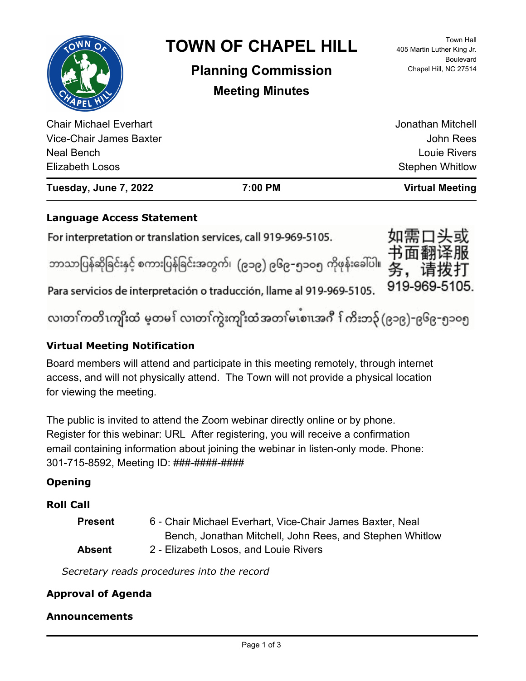|                               | <b>TOWN OF CHAPEL HILL</b><br><b>Planning Commission</b><br><b>Meeting Minutes</b> | <b>Town Hall</b><br>405 Martin Luther King Jr.<br><b>Boulevard</b><br>Chapel Hill, NC 27514 |
|-------------------------------|------------------------------------------------------------------------------------|---------------------------------------------------------------------------------------------|
| <b>Chair Michael Everhart</b> |                                                                                    | Jonathan Mitchell                                                                           |
| Vice-Chair James Baxter       |                                                                                    | <b>John Rees</b>                                                                            |
| Neal Bench                    |                                                                                    | <b>Louie Rivers</b>                                                                         |
| <b>Elizabeth Losos</b>        |                                                                                    | <b>Stephen Whitlow</b>                                                                      |

**Tuesday, June 7, 2022 7:00 PM Virtual Meeting**

## **Language Access Statement**

For interpretation or translation services, call 919-969-5105. ဘာသာပြန်ဆိုခြင်းနှင့် စကားပြန်ခြင်းအတွက်၊ (၉၁၉) ၉၆၉–၅၁ဝ၅ ကိုဖုန်းခေါ်ပါ။

Para servicios de interpretación o traducción, llame al 919-969-5105.

လ၊တၢ်ကတိၤကျိးထံ မ့တမ႑် လ၊တၢ်ကွဲးကျိးထံအတၤ်မၤစၢ၊အဂီ ႑်ကိးဘ၃် (၉၁၉)-၉၆၉-၅၁၀၅

务,

请 919-969-5105.

# **Virtual Meeting Notification**

Board members will attend and participate in this meeting remotely, through internet access, and will not physically attend. The Town will not provide a physical location for viewing the meeting.

The public is invited to attend the Zoom webinar directly online or by phone. Register for this webinar: URL After registering, you will receive a confirmation email containing information about joining the webinar in listen-only mode. Phone: 301-715-8592, Meeting ID: ###-####-####

# **Opening**

# **Roll Call**

| <b>Present</b> | 6 - Chair Michael Everhart, Vice-Chair James Baxter, Neal |
|----------------|-----------------------------------------------------------|
|                | Bench, Jonathan Mitchell, John Rees, and Stephen Whitlow  |
| Absent         | 2 - Elizabeth Losos, and Louie Rivers                     |

*Secretary reads procedures into the record*

# **Approval of Agenda**

## **Announcements**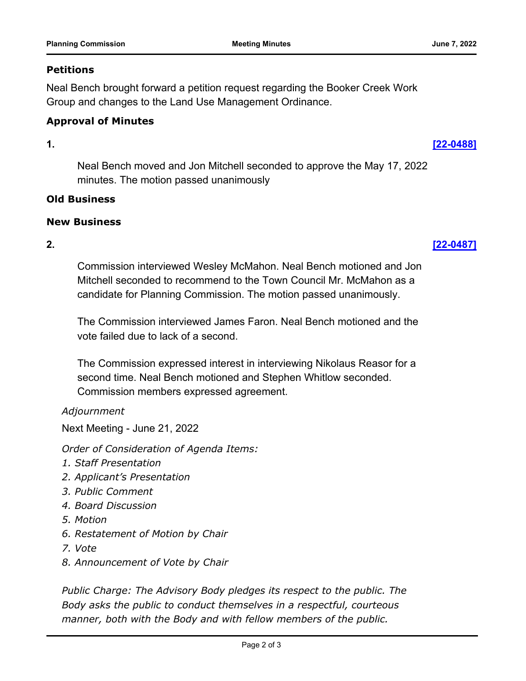### **Petitions**

Neal Bench brought forward a petition request regarding the Booker Creek Work Group and changes to the Land Use Management Ordinance.

## **Approval of Minutes**

**1. [\[22-0488\]](http://chapelhill.legistar.com/gateway.aspx?m=l&id=/matter.aspx?key=8064)**

Neal Bench moved and Jon Mitchell seconded to approve the May 17, 2022 minutes. The motion passed unanimously

### **Old Business**

## **New Business**

**2. [\[22-0487\]](http://chapelhill.legistar.com/gateway.aspx?m=l&id=/matter.aspx?key=7970)**

Commission interviewed Wesley McMahon. Neal Bench motioned and Jon Mitchell seconded to recommend to the Town Council Mr. McMahon as a candidate for Planning Commission. The motion passed unanimously.

The Commission interviewed James Faron. Neal Bench motioned and the vote failed due to lack of a second.

The Commission expressed interest in interviewing Nikolaus Reasor for a second time. Neal Bench motioned and Stephen Whitlow seconded. Commission members expressed agreement.

## *Adjournment*

Next Meeting - June 21, 2022

*Order of Consideration of Agenda Items:* 

- *1. Staff Presentation*
- *2. Applicant's Presentation*
- *3. Public Comment*
- *4. Board Discussion*
- *5. Motion*
- *6. Restatement of Motion by Chair*
- *7. Vote*
- *8. Announcement of Vote by Chair*

*Public Charge: The Advisory Body pledges its respect to the public. The Body asks the public to conduct themselves in a respectful, courteous manner, both with the Body and with fellow members of the public.*